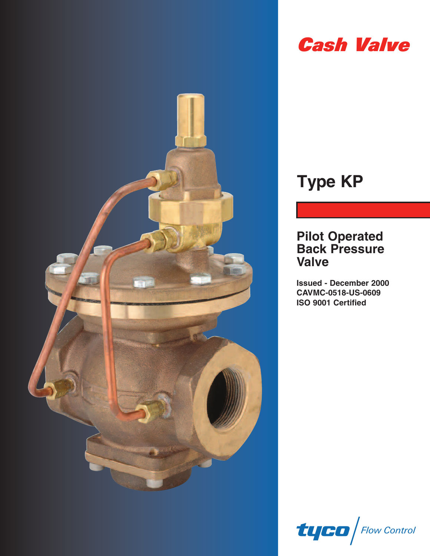

# **Cash Valve**

# **Type KP**

## **Pilot Operated Back Pressure Valve**

**Issued - December 2000 CAVMC-0518-US-0609 ISO 9001 Certified**

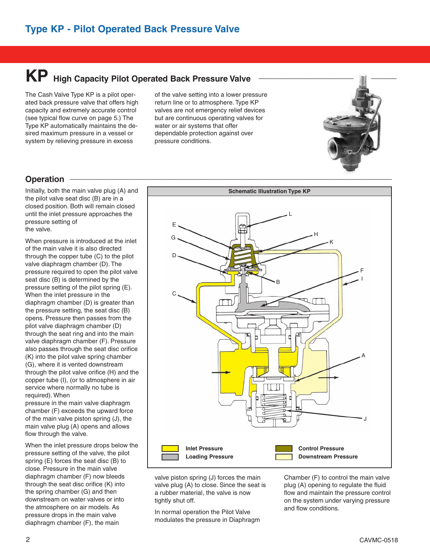# **KP** High Capacity Pilot Operated Back Pressure Valve

The Cash Valve Type KP is a pilot operated back pressure valve that offers high capacity and extremely accurate control (see typical flow curve on page 5.) The Type KP automatically maintains the desired maximum pressure in a vessel or system by relieving pressure in excess

of the valve setting into a lower pressure return line or to atmosphere. Type KP valves are not emergency relief devices but are continuous operating valves for water or air systems that offer dependable protection against over pressure conditions.



Initially, both the main valve plug (A) and the pilot valve seat disc (B) are in a closed position. Both will remain closed until the inlet pressure approaches the pressure setting of the valve.

When pressure is introduced at the inlet of the main valve it is also directed through the copper tube (C) to the pilot valve diaphragm chamber (D). The pressure required to open the pilot valve seat disc (B) is determined by the pressure setting of the pilot spring (E). When the inlet pressure in the diaphragm chamber (D) is greater than the pressure setting, the seat disc (B) opens. Pressure then passes from the pilot valve diaphragm chamber (D) through the seat ring and into the main valve diaphragm chamber (F). Pressure also passes through the seat disc orifice (K) into the pilot valve spring chamber (G), where it is vented downstream through the pilot valve orifice (H) and the copper tube (I), (or to atmosphere in air service where normally no tube is required). When

pressure in the main valve diaphragm chamber (F) exceeds the upward force of the main valve piston spring (J), the main valve plug (A) opens and allows flow through the valve.

When the inlet pressure drops below the pressure setting of the valve, the pilot spring (E) forces the seat disc (B) to close. Pressure in the main valve diaphragm chamber (F) now bleeds through the seat disc orifice (K) into the spring chamber (G) and then downstream on water valves or into the atmosphere on air models. As pressure drops in the main valve diaphragm chamber (F), the main



valve piston spring (J) forces the main valve plug (A) to close. Since the seat is a rubber material, the valve is now tightly shut off.

In normal operation the Pilot Valve modulates the pressure in Diaphragm Chamber (F) to control the main valve plug (A) opening to regulate the fluid flow and maintain the pressure control on the system under varying pressure and flow conditions.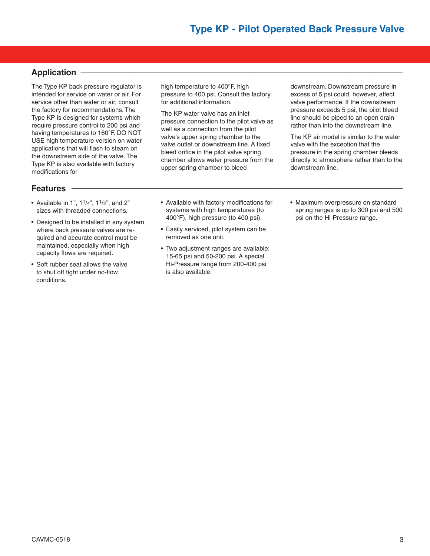## **Application \_\_\_\_\_\_\_\_\_\_\_\_\_\_\_\_\_\_\_\_\_\_\_\_\_\_\_\_\_\_\_\_\_\_\_\_\_\_\_\_\_\_\_\_\_\_\_\_\_\_\_\_\_\_\_\_\_\_\_\_\_\_\_\_\_\_\_\_\_\_**

The Type KP back pressure regulator is intended for service on water or air. For service other than water or air, consult the factory for recommendations. The Type KP is designed for systems which require pressure control to 200 psi and having temperatures to 160°F. DO NOT USE high temperature version on water applications that will flash to steam on the downstream side of the valve. The Type KP is also available with factory modifications for

## **Features \_\_\_\_\_\_\_\_\_\_\_\_\_\_\_\_\_\_\_\_\_\_\_\_\_\_\_\_\_\_\_\_\_\_\_\_\_\_\_\_\_\_\_\_\_\_\_\_\_\_\_\_\_\_\_\_\_\_\_\_\_\_\_\_\_\_\_\_\_\_\_\_**

- Available in 1",  $1^{1}/4$ ",  $1^{1}/2$ ", and 2" sizes with threaded connections.
- Designed to be installed in any system where back pressure valves are required and accurate control must be maintained, especially when high capacity flows are required.
- Soft rubber seat allows the valve to shut off tight under no-flow conditions.

high temperature to 400°F, high pressure to 400 psi. Consult the factory for additional information.

The KP water valve has an inlet pressure connection to the pilot valve as well as a connection from the pilot valve's upper spring chamber to the valve outlet or downstream line. A fixed bleed orifice in the pilot valve spring chamber allows water pressure from the upper spring chamber to bleed

downstream. Downstream pressure in excess of 5 psi could, however, affect valve performance. If the downstream pressure exceeds 5 psi, the pilot bleed line should be piped to an open drain rather than into the downstream line.

The KP air model is similar to the water valve with the exception that the pressure in the spring chamber bleeds directly to atmosphere rather than to the downstream line.

- Available with factory modifications for systems with high temperatures (to 400°F), high pressure (to 400 psi).
- Easily serviced, pilot system can be removed as one unit.
- Two adjustment ranges are available: 15-65 psi and 50-200 psi. A special Hi-Pressure range from 200-400 psi is also available.
- Maximum overpressure on standard spring ranges is up to 300 psi and 500 psi on the Hi-Pressure range.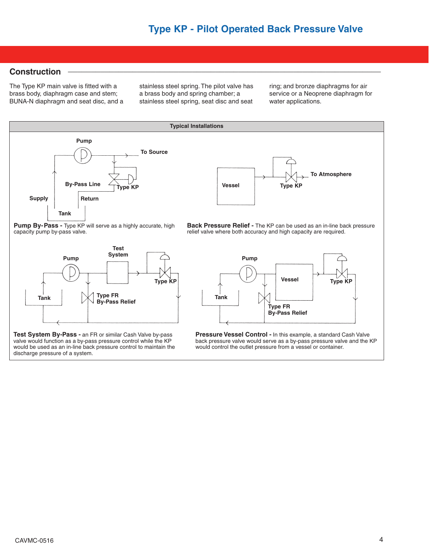#### **Construction \_\_\_\_\_\_\_\_\_\_\_\_\_\_\_\_\_\_\_\_\_\_\_\_\_\_\_\_\_\_\_\_\_\_\_\_\_\_\_\_\_\_\_\_\_\_\_\_\_\_\_\_\_\_\_\_\_\_\_\_\_\_\_\_\_\_\_\_**

The Type KP main valve is fitted with a brass body, diaphragm case and stem; BUNA-N diaphragm and seat disc, and a stainless steel spring. The pilot valve has a brass body and spring chamber; a stainless steel spring, seat disc and seat

ring; and bronze diaphragms for air service or a Neoprene diaphragm for water applications.

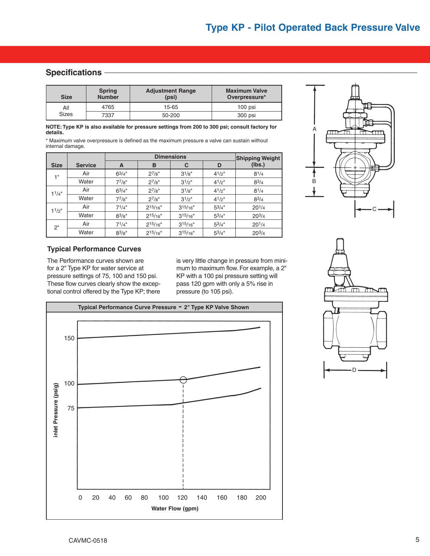### Specifications **<b>-**

| <b>Size</b>         | <b>Spring</b><br><b>Number</b> | <b>Adjustment Range</b><br>(psi) | <b>Maximum Valve</b><br>Overpressure* |  |  |
|---------------------|--------------------------------|----------------------------------|---------------------------------------|--|--|
| All<br><b>Sizes</b> | 4765                           | 15-65                            | $100$ psi                             |  |  |
|                     | 7337                           | 50-200                           | 300 psi                               |  |  |

**NOTE: Type KP is also available for pressure settings from 200 to 300 psi; consult factory for details.**

\* Maximum valve overpressure is defined as the maximum pressure a valve can sustain without internal damage.

|                               |       |            | <b>Shipping Weight</b> |               |             |            |
|-------------------------------|-------|------------|------------------------|---------------|-------------|------------|
| <b>Size</b><br><b>Service</b> |       | A          | B                      | C             | D           | (lbs.)     |
| 1 <sup>II</sup>               | Air   | $6^{3}/4"$ | $2^{7}/8"$             | $3^{1}/8"$    | $4^{1}/2$ " | $8^{1/4}$  |
|                               | Water | $7^{7}/8"$ | $2^{7}/8"$             | $3^{1/2}$ "   | $4^{1}/2$ " | $8^{3}/4$  |
| $1^{1/4"$                     | Air   | $6^{3}/4"$ | $2^{7}/8"$             | $3^{1}/8"$    | $4^{1}/2$ " | $8^{1/4}$  |
|                               | Water | $7^{7}/8"$ | $2^{7}/8"$             | $3^{1/2}$ "   | $4^{1}/2$ " | $8^{3}/4$  |
| $1^{1/2"$                     | Air   | $7^{1/4"}$ | $2^{15/16"}$           | $3^{15/16"}$  | $5^{3}/4"$  | $20^{1/4}$ |
|                               | Water | $8^{3}/8"$ | $2^{15/16"}$           | $3^{15}/16"$  | $5^{3}/4"$  | $20^{3}/4$ |
| 2"                            | Air   | $7^{1/4"}$ | $2^{15/16"}$           | $3^{15}/16$ " | $5^{3}/4"$  | $20^{1/4}$ |
|                               | Water | $8^{3}/8"$ | $2^{15/16"}$           | $3^{15/16"}$  | $5^{3}/4"$  | $20^{3}/4$ |



#### **Typical Performance Curves**

The Performance curves shown are for a 2" Type KP for water service at pressure settings of 75, 100 and 150 psi. These flow curves clearly show the exceptional control offered by the Type KP; there is very little change in pressure from minimum to maximum flow. For example, a 2" KP with a 100 psi pressure setting will pass 120 gpm with only a 5% rise in pressure (to 105 psi).